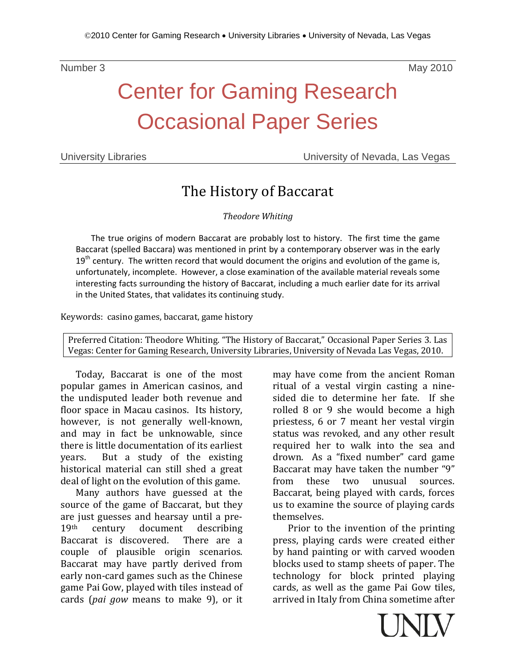Number 3 and 2010 and 2010 and 2010 and 2010 and 2010 and 2010 and 2010 and 2010 and 2010 and 2010 and 2010 and

## Center for Gaming Research Occasional Paper Series

University Libraries University of Nevada, Las Vegas

### The History of Baccarat

*Theodore Whiting*

The true origins of modern Baccarat are probably lost to history. The first time the game Baccarat (spelled Baccara) was mentioned in print by a contemporary observer was in the early  $19<sup>th</sup>$  century. The written record that would document the origins and evolution of the game is, unfortunately, incomplete. However, a close examination of the available material reveals some interesting facts surrounding the history of Baccarat, including a much earlier date for its arrival in the United States, that validates its continuing study.

Keywords: casino games, baccarat, game history

Preferred Citation: Theodore Whiting. "The History of Baccarat," Occasional Paper Series 3. Las Vegas: Center for Gaming Research, University Libraries, University of Nevada Las Vegas, 2010.

Today, Baccarat is one of the most popular games in American casinos, and the undisputed leader both revenue and floor space in Macau casinos. Its history, however, is not generally well-known, and may in fact be unknowable, since there is little documentation of its earliest<br>vears. But a study of the existing But a study of the existing historical material can still shed a great deal of light on the evolution of this game.

Many authors have guessed at the source of the game of Baccarat, but they are just guesses and hearsay until a pre-<br> $19<sup>th</sup>$  century document describing document describing<br>overed. There are a Baccarat is discovered. couple of plausible origin scenarios. Baccarat may have partly derived from early non-card games such as the Chinese game Pai Gow, played with tiles instead of cards (*pai gow* means to make 9), or it

may have come from the ancient Roman ritual of a vestal virgin casting a ninesided die to determine her fate. If she rolled 8 or 9 she would become a high priestess, 6 or 7 meant her vestal virgin status was revoked, and any other result required her to walk into the sea and drown. As a "fixed number" card game Baccarat may have taken the number "9"<br>from these two unusual sources. from these two unusual sources. Baccarat, being played with cards, forces us to examine the source of playing cards themselves.

Prior to the invention of the printing press, playing cards were created either by hand painting or with carved wooden blocks used to stamp sheets of paper. The technology for block printed playing cards, as well as the game Pai Gow tiles, arrived in Italy from China sometime after

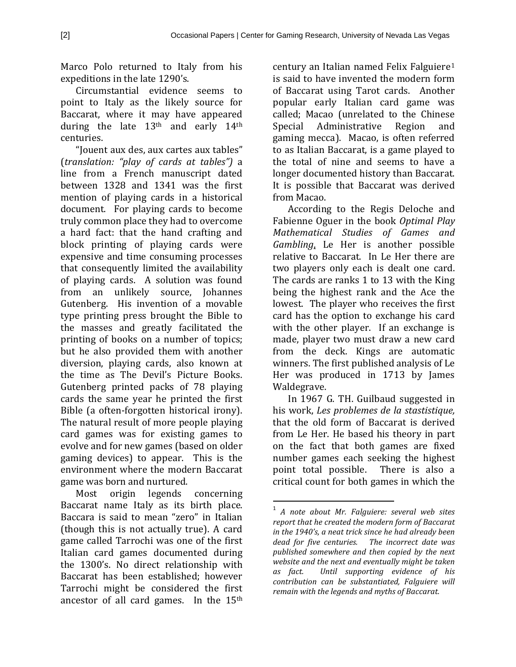Marco Polo returned to Italy from his expeditions in the late 1290's.

Circumstantial evidence seems to point to Italy as the likely source for Baccarat, where it may have appeared during the late 13th and early 14th centuries.

"Jouent aux des, aux cartes aux tables" (*translation: "play of cards at tables")* a line from a French manuscript dated between 1328 and 1341 was the first mention of playing cards in a historical document. For playing cards to become truly common place they had to overcome a hard fact: that the hand crafting and block printing of playing cards were expensive and time consuming processes that consequently limited the availability of playing cards. A solution was found from an unlikely source, Johannes Gutenberg. His invention of a movable type printing press brought the Bible to the masses and greatly facilitated the printing of books on a number of topics; but he also provided them with another diversion, playing cards, also known at the time as The Devil's Picture Books. Gutenberg printed packs of 78 playing cards the same year he printed the first Bible (a often-forgotten historical irony). The natural result of more people playing card games was for existing games to evolve and for new games (based on older gaming devices) to appear. This is the environment where the modern Baccarat game was born and nurtured.

<span id="page-1-0"></span>Most origin legends concerning Baccarat name Italy as its birth place. Baccara is said to mean "zero" in Italian (though this is not actually true). A card game called Tarrochi was one of the first Italian card games documented during the 1300's. No direct relationship with Baccarat has been established; however Tarrochi might be considered the first ancestor of all card games. In the 15th

century an Italian named Felix Falguiere[1](#page-1-0) is said to have invented the modern form of Baccarat using Tarot cards. Another popular early Italian card game was called; Macao (unrelated to the Chinese<br>Special Administrative Region and Administrative gaming mecca). Macao, is often referred to as Italian Baccarat, is a game played to the total of nine and seems to have a longer documented history than Baccarat. It is possible that Baccarat was derived from Macao.

According to the Regis Deloche and Fabienne Oguer in the book *Optimal Play Mathematical Studies of Games and Gambling*, Le Her is another possible relative to Baccarat. In Le Her there are two players only each is dealt one card. The cards are ranks 1 to 13 with the King being the highest rank and the Ace the lowest. The player who receives the first card has the option to exchange his card with the other player. If an exchange is made, player two must draw a new card from the deck. Kings are automatic winners. The first published analysis of Le Her was produced in 1713 by James Waldegrave.

In 1967 G. TH. Guilbaud suggested in his work, *Les problemes de la stastistique,* that the old form of Baccarat is derived from Le Her. He based his theory in part on the fact that both games are fixed number games each seeking the highest point total possible. There is also a critical count for both games in which the

 <sup>1</sup> *A note about Mr. Falguiere: several web sites report that he created the modern form of Baccarat in the 1940's, a neat trick since he had already been dead for five centuries. The incorrect date was published somewhere and then copied by the next website and the next and eventually might be taken as fact. Until supporting evidence of his contribution can be substantiated, Falguiere will remain with the legends and myths of Baccarat.*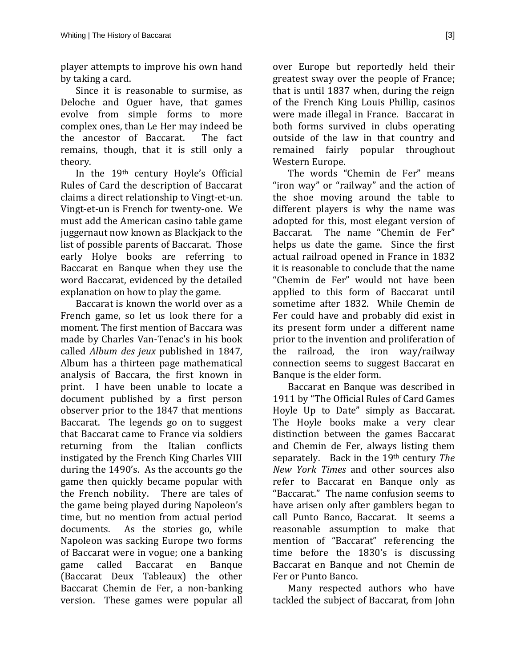player attempts to improve his own hand by taking a card.

Since it is reasonable to surmise, as Deloche and Oguer have, that games evolve from simple forms to more complex ones, than Le Her may indeed be<br>the ancestor of Baccarat. The fact the ancestor of Baccarat. remains, though, that it is still only a theory.

In the 19th century Hoyle's Official Rules of Card the description of Baccarat claims a direct relationship to Vingt-et-un. Vingt-et-un is French for twenty-one. We must add the American casino table game juggernaut now known as Blackjack to the list of possible parents of Baccarat. Those early Holye books are referring to Baccarat en Banque when they use the word Baccarat, evidenced by the detailed explanation on how to play the game.

Baccarat is known the world over as a French game, so let us look there for a moment. The first mention of Baccara was made by Charles Van-Tenac's in his book called *Album des jeux* published in 1847, Album has a thirteen page mathematical analysis of Baccara, the first known in print. I have been unable to locate a document published by a first person observer prior to the 1847 that mentions Baccarat. The legends go on to suggest that Baccarat came to France via soldiers returning from the Italian conflicts instigated by the French King Charles VIII during the 1490's. As the accounts go the game then quickly became popular with the French nobility. There are tales of the game being played during Napoleon's time, but no mention from actual period<br>documents. As the stories go, while As the stories go, while Napoleon was sacking Europe two forms of Baccarat were in vogue; one a banking<br>game called Baccarat en Banque Baccarat (Baccarat Deux Tableaux) the other Baccarat Chemin de Fer, a non-banking version. These games were popular all

over Europe but reportedly held their greatest sway over the people of France; that is until 1837 when, during the reign of the French King Louis Phillip, casinos were made illegal in France. Baccarat in both forms survived in clubs operating outside of the law in that country and remained fairly popular throughout Western Europe.

The words "Chemin de Fer" means "iron way" or "railway" and the action of the shoe moving around the table to different players is why the name was adopted for this, most elegant version of<br>Baccarat. The name "Chemin de Fer" The name "Chemin de Fer" helps us date the game. Since the first actual railroad opened in France in 1832 it is reasonable to conclude that the name "Chemin de Fer" would not have been applied to this form of Baccarat until sometime after 1832. While Chemin de Fer could have and probably did exist in its present form under a different name prior to the invention and proliferation of the railroad, the iron way/railway connection seems to suggest Baccarat en Banque is the elder form.

Baccarat en Banque was described in 1911 by "The Official Rules of Card Games Hoyle Up to Date" simply as Baccarat. The Hoyle books make a very clear distinction between the games Baccarat and Chemin de Fer, always listing them separately. Back in the 19th century *The New York Times* and other sources also refer to Baccarat en Banque only as "Baccarat." The name confusion seems to have arisen only after gamblers began to call Punto Banco, Baccarat. It seems a reasonable assumption to make that mention of "Baccarat" referencing the time before the 1830's is discussing Baccarat en Banque and not Chemin de Fer or Punto Banco.

Many respected authors who have tackled the subject of Baccarat, from John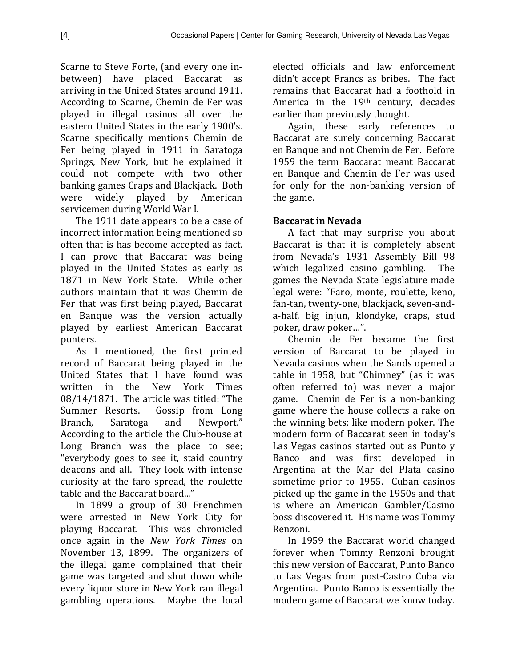Scarne to Steve Forte, (and every one inbetween) have placed Baccarat as arriving in the United States around 1911. According to Scarne, Chemin de Fer was played in illegal casinos all over the eastern United States in the early 1900's. Scarne specifically mentions Chemin de Fer being played in 1911 in Saratoga Springs, New York, but he explained it could not compete with two other banking games Craps and Blackjack. Both<br>were widely played by American were widely played servicemen during World War I.

The 1911 date appears to be a case of incorrect information being mentioned so often that is has become accepted as fact. I can prove that Baccarat was being played in the United States as early as 1871 in New York State. While other authors maintain that it was Chemin de Fer that was first being played, Baccarat en Banque was the version actually played by earliest American Baccarat punters.

As I mentioned, the first printed record of Baccarat being played in the United States that I have found was<br>written in the New York Times written in the New York 08/14/1871. The article was titled: "The Summer Resorts. Gossip from Long Summer Resorts. Gossip from Long<br>Branch. Saratoga and Newport." Newport." According to the article the Club-house at Long Branch was the place to see; "everybody goes to see it, staid country deacons and all. They look with intense curiosity at the faro spread, the roulette table and the Baccarat board..."

In 1899 a group of 30 Frenchmen were arrested in New York City for playing Baccarat. This was chronicled once again in the *New York Times* on November 13, 1899. The organizers of the illegal game complained that their game was targeted and shut down while every liquor store in New York ran illegal gambling operations. Maybe the local

elected officials and law enforcement didn't accept Francs as bribes. The fact remains that Baccarat had a foothold in America in the 19<sup>th</sup> century, decades earlier than previously thought.

Again, these early references to Baccarat are surely concerning Baccarat en Banque and not Chemin de Fer. Before 1959 the term Baccarat meant Baccarat en Banque and Chemin de Fer was used for only for the non-banking version of the game.

#### **Baccarat in Nevada**

A fact that may surprise you about Baccarat is that it is completely absent from Nevada's 1931 Assembly Bill 98<br>which legalized casino gambling. The which legalized casino gambling. games the Nevada State legislature made legal were: "Faro, monte, roulette, keno, fan-tan, twenty-one, blackjack, seven-anda-half, big injun, klondyke, craps, stud poker, draw poker…".

Chemin de Fer became the first version of Baccarat to be played in Nevada casinos when the Sands opened a table in 1958, but "Chimney" (as it was often referred to) was never a major game. Chemin de Fer is a non-banking game where the house collects a rake on the winning bets; like modern poker. The modern form of Baccarat seen in today's Las Vegas casinos started out as Punto y Banco and was first developed in Argentina at the Mar del Plata casino sometime prior to 1955. Cuban casinos picked up the game in the 1950s and that is where an American Gambler/Casino boss discovered it. His name was Tommy Renzoni.

In 1959 the Baccarat world changed forever when Tommy Renzoni brought this new version of Baccarat, Punto Banco to Las Vegas from post-Castro Cuba via Argentina. Punto Banco is essentially the modern game of Baccarat we know today.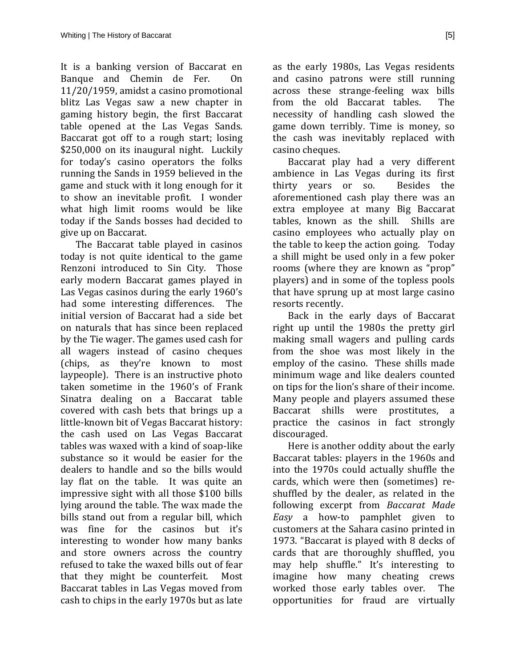It is a banking version of Baccarat en<br>Banque and Chemin de Fer. On Banque and Chemin de Fer. 11/20/1959, amidst a casino promotional blitz Las Vegas saw a new chapter in gaming history begin, the first Baccarat table opened at the Las Vegas Sands. Baccarat got off to a rough start; losing \$250,000 on its inaugural night. Luckily for today's casino operators the folks running the Sands in 1959 believed in the game and stuck with it long enough for it to show an inevitable profit. I wonder what high limit rooms would be like today if the Sands bosses had decided to give up on Baccarat.

The Baccarat table played in casinos today is not quite identical to the game Renzoni introduced to Sin City. Those early modern Baccarat games played in Las Vegas casinos during the early 1960's<br>had some interesting differences. The had some interesting differences. initial version of Baccarat had a side bet on naturals that has since been replaced by the Tie wager. The games used cash for all wagers instead of casino cheques (chips, as they're known to most laypeople). There is an instructive photo taken sometime in the 1960's of Frank Sinatra dealing on a Baccarat table covered with cash bets that brings up a little-known bit of Vegas Baccarat history: the cash used on Las Vegas Baccarat tables was waxed with a kind of soap-like substance so it would be easier for the dealers to handle and so the bills would lay flat on the table. It was quite an impressive sight with all those \$100 bills lying around the table. The wax made the bills stand out from a regular bill, which was fine for the casinos but it's interesting to wonder how many banks and store owners across the country refused to take the waxed bills out of fear<br>that they might be counterfeit. Most that they might be counterfeit. Baccarat tables in Las Vegas moved from cash to chips in the early 1970s but as late

as the early 1980s, Las Vegas residents and casino patrons were still running across these strange-feeling wax bills<br>from the old Baccarat tables. The from the old Baccarat tables. necessity of handling cash slowed the game down terribly. Time is money, so the cash was inevitably replaced with casino cheques.

Baccarat play had a very different ambience in Las Vegas during its first<br>thirty vears or so. Besides the thirty years or so. aforementioned cash play there was an extra employee at many Big Baccarat<br>tables, known as the shill. Shills are tables, known as the shill. casino employees who actually play on the table to keep the action going. Today a shill might be used only in a few poker rooms (where they are known as "prop" players) and in some of the topless pools that have sprung up at most large casino resorts recently.

Back in the early days of Baccarat right up until the 1980s the pretty girl making small wagers and pulling cards from the shoe was most likely in the employ of the casino. These shills made minimum wage and like dealers counted on tips for the lion's share of their income. Many people and players assumed these Baccarat shills were prostitutes, a practice the casinos in fact strongly discouraged.

Here is another oddity about the early Baccarat tables: players in the 1960s and into the 1970s could actually shuffle the cards, which were then (sometimes) reshuffled by the dealer, as related in the following excerpt from *Baccarat Made Easy* a how-to pamphlet given to customers at the Sahara casino printed in 1973. "Baccarat is played with 8 decks of cards that are thoroughly shuffled, you may help shuffle." It's interesting to imagine how many cheating crews<br>worked those early tables over. The worked those early tables over. opportunities for fraud are virtually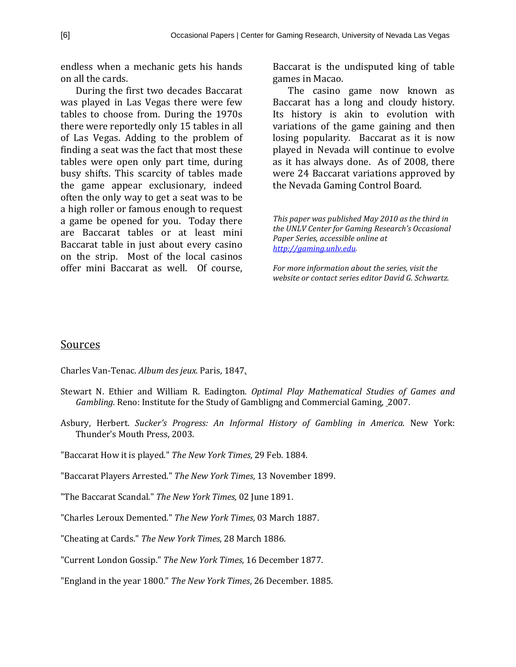endless when a mechanic gets his hands on all the cards.

During the first two decades Baccarat was played in Las Vegas there were few tables to choose from. During the 1970s there were reportedly only 15 tables in all of Las Vegas. Adding to the problem of finding a seat was the fact that most these tables were open only part time, during busy shifts. This scarcity of tables made the game appear exclusionary, indeed often the only way to get a seat was to be a high roller or famous enough to request a game be opened for you. Today there are Baccarat tables or at least mini Baccarat table in just about every casino on the strip. Most of the local casinos offer mini Baccarat as well. Of course,

Baccarat is the undisputed king of table games in Macao.

The casino game now known as Baccarat has a long and cloudy history. Its history is akin to evolution with variations of the game gaining and then losing popularity. Baccarat as it is now played in Nevada will continue to evolve as it has always done. As of 2008, there were 24 Baccarat variations approved by the Nevada Gaming Control Board.

*This paper was published May 2010 as the third in the UNLV Center for Gaming Research's Occasional Paper Series, accessible online at [http://gaming.unlv.edu.](http://gaming.unlv.edu/)*

*For more information about the series, visit the website or contact series editor David G. Schwartz.*

#### Sources

Charles Van-Tenac. *Album des jeux*. Paris, 1847*.*

- Stewart N. Ethier and William R. Eadington. *Optimal Play Mathematical Studies of Games and Gambling.* Reno: Institute for the Study of Gambligng and Commercial Gaming, 2007.
- Asbury, Herbert. *Sucker's Progress: An Informal History of Gambling in America*. New York: Thunder's Mouth Press, 2003.
- "Baccarat How it is played." *The New York Times*, 29 Feb. 1884.
- "Baccarat Players Arrested." *The New York Times*, 13 November 1899.
- "The Baccarat Scandal." *The New York Times,* 02 June 1891.
- "Charles Leroux Demented." *The New York Times,* 03 March 1887.
- "Cheating at Cards." *The New York Times*, 28 March 1886.
- "Current London Gossip." *The New York Times*, 16 December 1877.

"England in the year 1800." *The New York Times*, 26 December. 1885.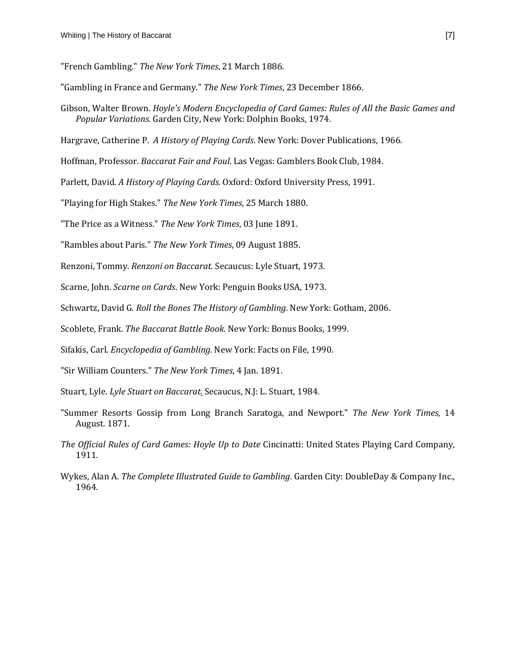"French Gambling." *The New York Times*, 21 March 1886.

"Gambling in France and Germany." *The New York Times*, 23 December 1866.

Gibson, Walter Brown. *Hoyle's Modern Encyclopedia of Card Games: Rules of All the Basic Games and Popular Variations*. Garden City, New York: Dolphin Books, 1974.

Hargrave, Catherine P. *A History of Playing Cards*. New York: Dover Publications, 1966.

Hoffman, Professor. *Baccarat Fair and Foul*. Las Vegas: Gamblers Book Club, 1984.

Parlett, David. *A History of Playing Cards*. Oxford: Oxford University Press, 1991.

"Playing for High Stakes." *The New York Times*, 25 March 1880.

"The Price as a Witness." *The New York Times*, 03 June 1891.

"Rambles about Paris." *The New York Times*, 09 August 1885.

Renzoni, Tommy. *Renzoni on Baccarat*. Secaucus: Lyle Stuart, 1973.

Scarne, John. *Scarne on Cards*. New York: Penguin Books USA, 1973.

Schwartz, David G. *Roll the Bones The History of Gambling*. New York: Gotham, 2006.

Scoblete, Frank. *The Baccarat Battle Book*. New York: Bonus Books, 1999.

Sifakis, Carl. *Encyclopedia of Gambling.* New York: Facts on File, 1990.

"Sir William Counters." *The New York Times*, 4 Jan. 1891.

Stuart, Lyle. *Lyle Stuart on Baccarat*. Secaucus, N.J: L. Stuart, 1984.

- "Summer Resorts Gossip from Long Branch Saratoga, and Newport." *The New York Times*, 14 August. 1871.
- *The Official Rules of Card Games: Hoyle Up to Date* Cincinatti: United States Playing Card Company, 1911.

Wykes, Alan A. *The Complete Illustrated Guide to Gambling*. Garden City: DoubleDay & Company Inc., 1964.